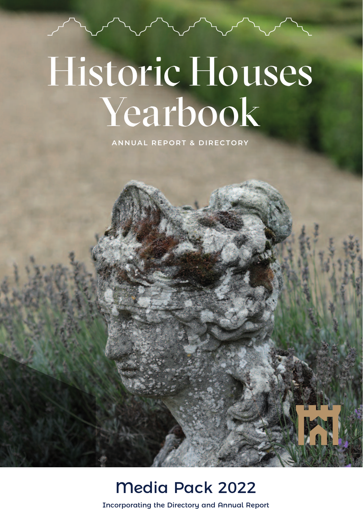# Historic Houses Yearbook

**ANNUAL REPORT & DIRECTORY**

#### Media Pack 2022

Incorporating the Directory and Annual Report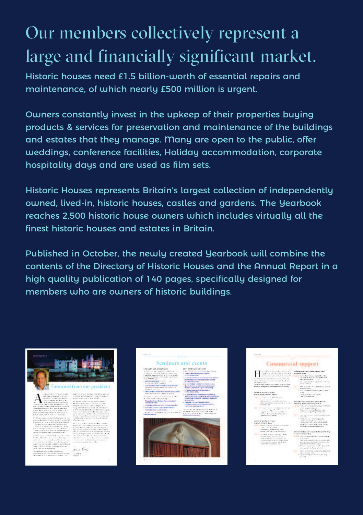### Our members collectively represent a large and financially significant market.

Historic houses need £1.5 billion-worth of essential repairs and maintenance, of which nearly £500 million is urgent.

Owners constantly invest in the upkeep of their properties buying products & services for preservation and maintenance of the buildings and estates that they manage. Many are open to the public, offer weddings, conference facilities, Holiday accommodation, corporate hospitality days and are used as film sets.

Historic Houses represents Britain's largest collection of independently owned, lived-in, historic houses, castles and gardens. The Yearbook reaches 2,500 historic house owners which includes virtually all the finest historic houses and estates in Britain.

Published in October, the newly created Yearbook will combine the contents of the Directory of Historic Houses and the Annual Report in a high quality publication of 140 pages, specifically designed for members who are owners of historic buildings.



 $\overline{A}$  $\begin{split} \text{Hence, in addition,}\\ \text{Hence, in addition,}\\ \text{Hence, in addition,}\\ \text{Hence, in addition,}\\ \text{Hence, in addition,}\\ \text{Hence, in addition,}\\ \text{Hence, in addition,}\\ \text{Hence, in addition,}\\ \text{Hence, in addition,}\\ \text{Hence, in addition,}\\ \text{Hence, in addition,}\\ \text{Hence, in addition,}\\ \text{Hence, in addition,}\\ \text{Hence, in addition,}\\ \text{Hence, in addition,}\\ \text{Hence, in addition,}\\ \text{Hence, in addition,}\\ \text{Hence, in addition,}\\ \text{Hence, in addition,}\\ \text{Hence, in addition,}\\ \text{Hence, in addition,}\\ \text{Hence$  $\label{eq:2} \begin{minipage}{0.9\textwidth} \begin{minipage}{0.9\textwidth} \begin{tabular}{|c|c|} \hline & \multicolumn{3}{|c|}{\multicolumn{3}{c|}{\multicolumn{3}{c|}{\multicolumn{3}{c|}{\multicolumn{3}{c|}{\multicolumn{3}{c|}{\multicolumn{3}{c|}{\multicolumn{3}{c|}{\multicolumn{3}{c|}{\multicolumn{3}{c|}{\multicolumn{3}{c|}{\multicolumn{3}{c|}{\multicolumn{3}{c|}{\multicolumn{3}{c|}{\multicolumn{3}{c|}{\multicolumn{3}{c|}{\multicolumn{3}{c$ 





Seminars and events the industry of the price and state the companies of the state of the state of the state of the state of the state of the state of the state of the state of the state of the state of the state of the state of the state of - spillers demokratikered a malek<br>- Francisco Service<br>- Barthama concerns at thought the property<br>- Barthama concerns demokratikers and<br>- Spielbay (Services)  $\label{eq:2.1} \begin{aligned} \mathcal{S}^{(1)}(1) & = \mathcal{S}^{(1)}(1) \oplus \mathcal{S}^{(2)}(1) \oplus \mathcal{S}^{(3)}(1) \oplus \mathcal{S}^{(4)}(1) \oplus \mathcal{S}^{(5)}(1) \oplus \mathcal{S}^{(6)}(1) \oplus \mathcal{S}^{(6)}(1) \oplus \mathcal{S}^{(6)}(1) \oplus \mathcal{S}^{(6)}(1) \oplus \mathcal{S}^{(6)}(1) \oplus \mathcal{S}^{(6)}(1) \oplus \mathcal{S}^{(6)}(1) \opl$ in miliare las solare de composições<br>Alguns de processor de la composição de composições<br>Alguns de composições de composições e norden often englishe andersale<br>Well regen en der deutsted ofte fra<br>Hollywood generalismen mangere school for an interest by since<br>Company of the company of the company of

## .<br>And the set of the second control of the set of the set of the set of the set of the set of the set of the set<br>And the set of the set of the set of the set of the set of the set of the set of the set of the set of the se



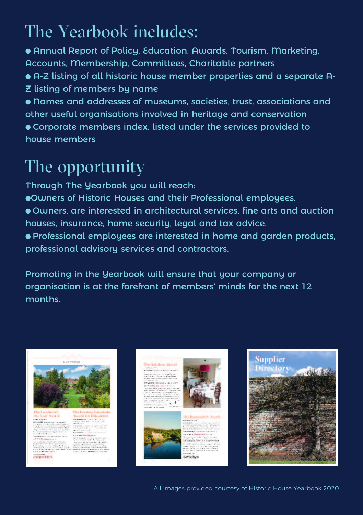### The Yearbook includes:

- Annual Report of Policy, Education, Awards, Tourism, Marketing, Accounts, Membership, Committees, Charitable partners
- A-Z listing of all historic house member properties and a separate A-Z listing of members by name
- Names and addresses of museums, societies, trust, associations and other useful organisations involved in heritage and conservation ● Corporate members index, listed under the services provided to house members

#### The opportunity

Through The Yearbook you will reach:

- ●Owners of Historic Houses and their Professional employees.
- Owners, are interested in architectural services, fine arts and auction houses, insurance, home security, legal and tax advice.
- Professional employees are interested in home and garden products, professional advisory services and contractors.

Promoting in the Yearbook will ensure that your company or organisation is at the forefront of members' minds for the next 12 months.



All images provided courtesy of Historic House Yearbook 2020